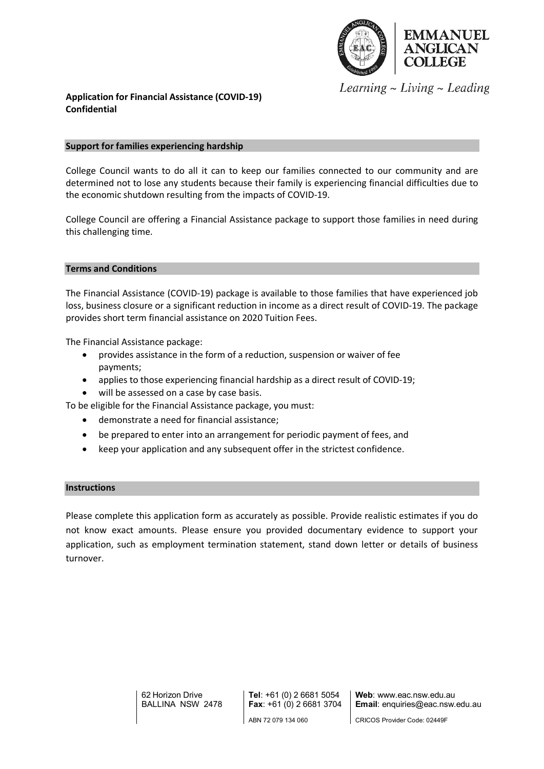

Learning  $\sim$  Living  $\sim$  Leading

## **Application for Financial Assistance (COVID-19) Confidential**

### **Support for families experiencing hardship**

College Council wants to do all it can to keep our families connected to our community and are determined not to lose any students because their family is experiencing financial difficulties due to the economic shutdown resulting from the impacts of COVID-19.

College Council are offering a Financial Assistance package to support those families in need during this challenging time.

### **Terms and Conditions**

The Financial Assistance (COVID-19) package is available to those families that have experienced job loss, business closure or a significant reduction in income as a direct result of COVID-19. The package provides short term financial assistance on 2020 Tuition Fees.

The Financial Assistance package:

- provides assistance in the form of a reduction, suspension or waiver of fee payments;
- applies to those experiencing financial hardship as a direct result of COVID-19;
- will be assessed on a case by case basis.

To be eligible for the Financial Assistance package, you must:

- demonstrate a need for financial assistance;
- be prepared to enter into an arrangement for periodic payment of fees, and
- keep your application and any subsequent offer in the strictest confidence.

#### **Instructions**

Please complete this application form as accurately as possible. Provide realistic estimates if you do not know exact amounts. Please ensure you provided documentary evidence to support your application, such as employment termination statement, stand down letter or details of business turnover.

> 62 Horizon Drive BALLINA NSW 2478

**Tel**: +61 (0) 2 6681 5054 **Fax**: +61 (0) 2 6681 3704 ABN 72 079 134 060

**Web**: www.eac.nsw.edu.au **Email**: enquiries@eac.nsw.edu.au

CRICOS Provider Code: 02449F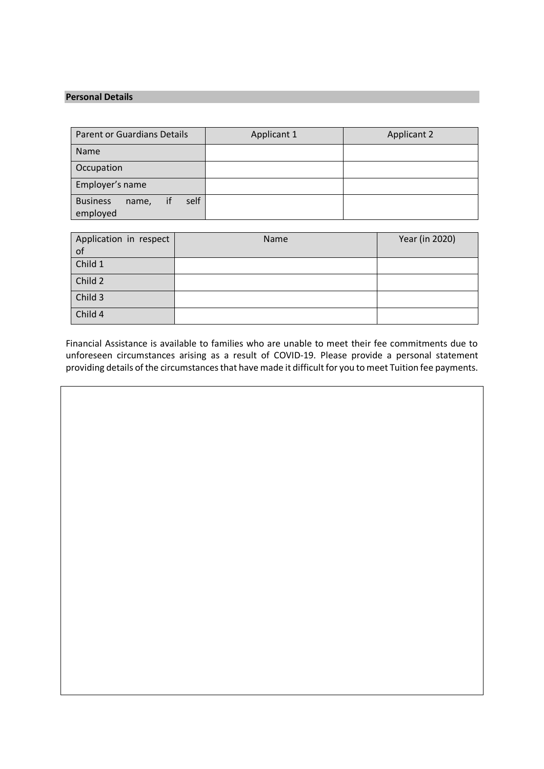# **Personal Details**

| <b>Parent or Guardians Details</b>           | Applicant 1 | <b>Applicant 2</b> |
|----------------------------------------------|-------------|--------------------|
| <b>Name</b>                                  |             |                    |
| Occupation                                   |             |                    |
| Employer's name                              |             |                    |
| self<br><b>Business</b><br>name,<br>employed |             |                    |

| Application in respect | Name | Year (in 2020) |
|------------------------|------|----------------|
| of                     |      |                |
| Child 1                |      |                |
| Child 2                |      |                |
| Child 3                |      |                |
| Child 4                |      |                |

Financial Assistance is available to families who are unable to meet their fee commitments due to unforeseen circumstances arising as a result of COVID-19. Please provide a personal statement providing details of the circumstances that have made it difficult for you to meet Tuition fee payments.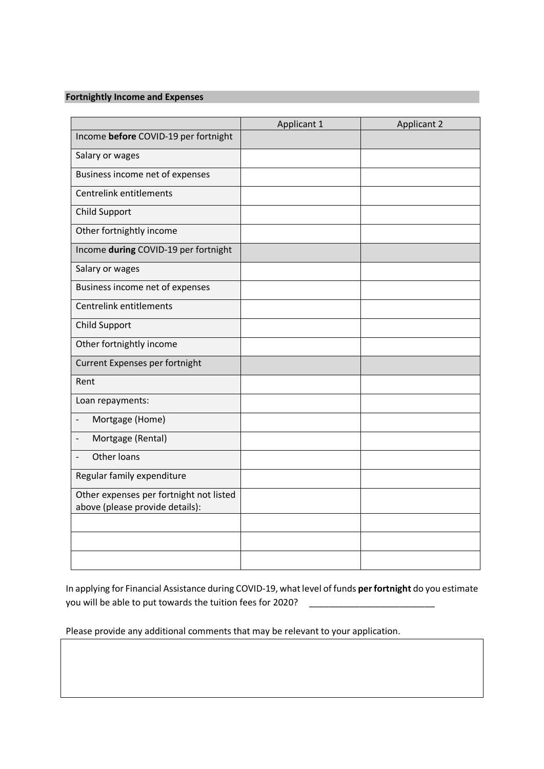## **Fortnightly Income and Expenses**

|                                                                            | Applicant 1 | <b>Applicant 2</b> |
|----------------------------------------------------------------------------|-------------|--------------------|
| Income before COVID-19 per fortnight                                       |             |                    |
| Salary or wages                                                            |             |                    |
| Business income net of expenses                                            |             |                    |
| Centrelink entitlements                                                    |             |                    |
| <b>Child Support</b>                                                       |             |                    |
| Other fortnightly income                                                   |             |                    |
| Income during COVID-19 per fortnight                                       |             |                    |
| Salary or wages                                                            |             |                    |
| Business income net of expenses                                            |             |                    |
| Centrelink entitlements                                                    |             |                    |
| <b>Child Support</b>                                                       |             |                    |
| Other fortnightly income                                                   |             |                    |
| Current Expenses per fortnight                                             |             |                    |
| Rent                                                                       |             |                    |
| Loan repayments:                                                           |             |                    |
| Mortgage (Home)                                                            |             |                    |
| Mortgage (Rental)                                                          |             |                    |
| <b>Other loans</b>                                                         |             |                    |
| Regular family expenditure                                                 |             |                    |
| Other expenses per fortnight not listed<br>above (please provide details): |             |                    |
|                                                                            |             |                    |
|                                                                            |             |                    |
|                                                                            |             |                    |

In applying for Financial Assistance during COVID-19, what level of funds **per fortnight** do you estimate you will be able to put towards the tuition fees for 2020?

Please provide any additional comments that may be relevant to your application.